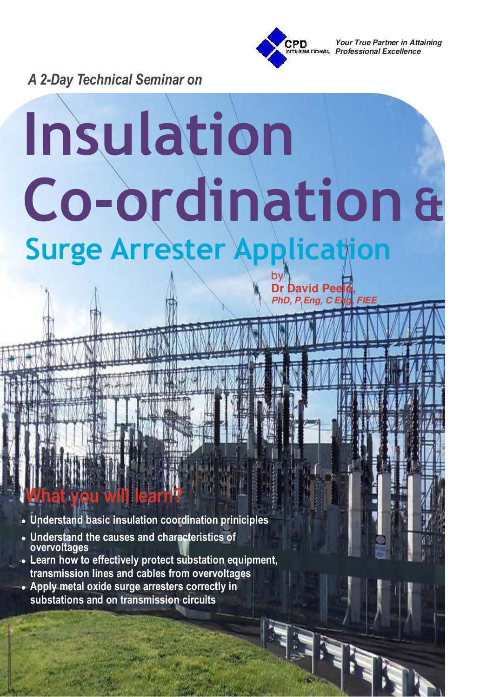

**Dr David Peelo,**

*PhD, P.Eng, C E* 

*Your True Partner in Attaining Professional Excellence*

*A 2-Day Technical Seminar on*

# **Surge Arrester Application** by **Insulation Co-ordination &**

● **Understand basic insulation coordination priniciples**

● **Understand the causes and characteristics of overvoltages**

**What you will learn?**

- Learn how to effectively protect substation equipment, **transmission lines and cables from overvoltages**
- Apply metal oxide surge arresters correctly in **substations and on transmission circuits**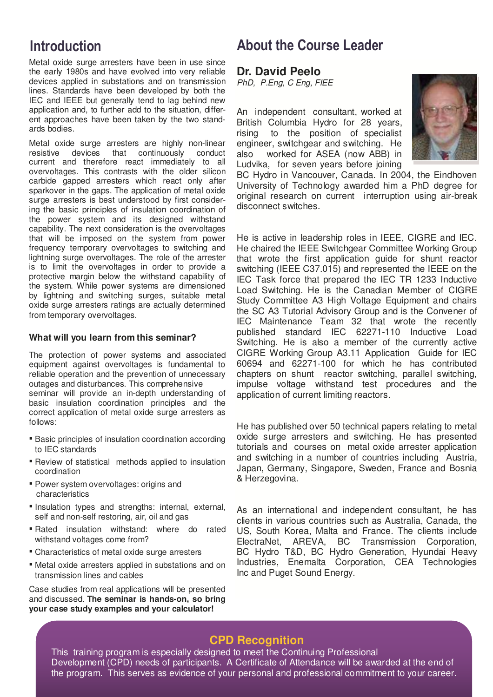Metal oxide surge arresters have been in use since the early 1980s and have evolved into very reliable devices applied in substations and on transmission lines. Standards have been developed by both the IEC and IEEE but generally tend to lag behind new application and, to further add to the situation, different approaches have been taken by the two standards bodies.

Metal oxide surge arresters are highly non-linear resistive devices that continuously conduct current and therefore react immediately to all overvoltages. This contrasts with the older silicon carbide gapped arresters which react only after sparkover in the gaps. The application of metal oxide surge arresters is best understood by first considering the basic principles of insulation coordination of the power system and its designed withstand capability. The next consideration is the overvoltages that will be imposed on the system from power frequency temporary overvoltages to switching and lightning surge overvoltages. The role of the arrester is to limit the overvoltages in order to provide a protective margin below the withstand capability of the system. While power systems are dimensioned by lightning and switching surges, suitable metal oxide surge arresters ratings are actually determined from temporary overvoltages.

#### **What will you learn from this seminar?**

The protection of power systems and associated equipment against overvoltages is fundamental to reliable operation and the prevention of unnecessary outages and disturbances. This comprehensive seminar will provide an in-depth understanding of basic insulation coordination principles and the correct application of metal oxide surge arresters as follows:

- **Basic principles of insulation coordination according** to IEC standards
- Review of statistical methods applied to insulation coordination
- Power system overvoltages: origins and characteristics
- Insulation types and strengths: internal, external, self and non-self restoring, air, oil and gas
- Rated insulation withstand: where do rated withstand voltages come from?
- **EX Characteristics of metal oxide surge arresters**
- **EXECT:** Metal oxide arresters applied in substations and on transmission lines and cables

Case studies from real applications will be presented and discussed. **The seminar is hands-on, so bring your case study examples and your calculator!**

## **Introduction About the Course Leader**

#### **Dr. David Peelo**

*PhD, P.Eng, C Eng, FIEE*

An independent consultant, worked at British Columbia Hydro for 28 years, rising to the position of specialist engineer, switchgear and switching. He also worked for ASEA (now ABB) in Ludvika, for seven years before joining



BC Hydro in Vancouver, Canada. In 2004, the Eindhoven University of Technology awarded him a PhD degree for original research on current interruption using air-break disconnect switches.

He is active in leadership roles in IEEE, CIGRE and IEC. He chaired the IEEE Switchgear Committee Working Group that wrote the first application guide for shunt reactor switching (IEEE C37.015) and represented the IEEE on the IEC Task force that prepared the IEC TR 1233 Inductive Load Switching. He is the Canadian Member of CIGRE Study Committee A3 High Voltage Equipment and chairs the SC A3 Tutorial Advisory Group and is the Convener of IEC Maintenance Team 32 that wrote the recently published standard IEC 62271-110 Inductive Load Switching. He is also a member of the currently active CIGRE Working Group A3.11 Application Guide for IEC 60694 and 62271-100 for which he has contributed chapters on shunt reactor switching, parallel switching, impulse voltage withstand test procedures and the application of current limiting reactors.

He has published over 50 technical papers relating to metal oxide surge arresters and switching. He has presented tutorials and courses on metal oxide arrester application and switching in a number of countries including Austria, Japan, Germany, Singapore, Sweden, France and Bosnia & Herzegovina.

As an international and independent consultant, he has clients in various countries such as Australia, Canada, the US, South Korea, Malta and France. The clients include ElectraNet, AREVA, BC Transmission Corporation, BC Hydro T&D, BC Hydro Generation, Hyundai Heavy Industries, Enemalta Corporation, CEA Technologies Inc and Puget Sound Energy.

#### **CPD Recognition**

This training program is especially designed to meet the Continuing Professional Development (CPD) needs of participants. A Certificate of Attendance will be awarded at the end of the program. This serves as evidence of your personal and professional commitment to your career.